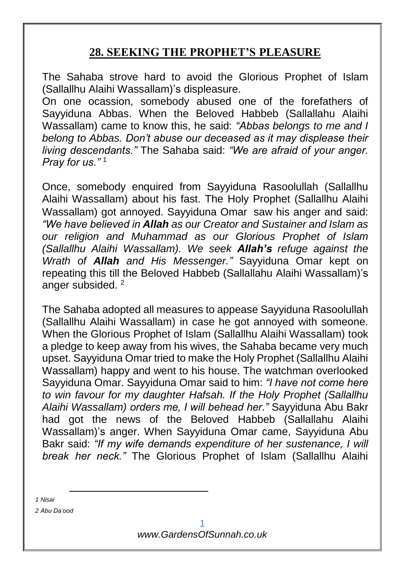## **28. SEEKING THE PROPHET'S PLEASURE**

The Sahaba strove hard to avoid the Glorious Prophet of Islam (Sallallhu Alaihi Wassallam)'s displeasure.

On one ocassion, somebody abused one of the forefathers of Sayyiduna Abbas. When the Beloved Habbeb (Sallallahu Alaihi Wassallam) came to know this, he said: *"Abbas belongs to me and I belong to Abbas. Don't abuse our deceased as it may displease their living descendants."* The Sahaba said: *"We are afraid of your anger. Pray for us."* <sup>1</sup>

Once, somebody enquired from Sayyiduna Rasoolullah (Sallallhu Alaihi Wassallam) about his fast. The Holy Prophet (Sallallhu Alaihi Wassallam) got annoyed. Sayyiduna Omar saw his anger and said: *"We have believed in Allah as our Creator and Sustainer and Islam as our religion and Muhammad as our Glorious Prophet of Islam (Sallallhu Alaihi Wassallam). We seek Allah's refuge against the Wrath of Allah and His Messenger."* Sayyiduna Omar kept on repeating this till the Beloved Habbeb (Sallallahu Alaihi Wassallam)'s anger subsided.<sup>2</sup>

The Sahaba adopted all measures to appease Sayyiduna Rasoolullah (Sallallhu Alaihi Wassallam) in case he got annoyed with someone. When the Glorious Prophet of Islam (Sallallhu Alaihi Wassallam) took a pledge to keep away from his wives, the Sahaba became very much upset. Sayyiduna Omar tried to make the Holy Prophet (Sallallhu Alaihi Wassallam) happy and went to his house. The watchman overlooked Sayyiduna Omar. Sayyiduna Omar said to him: *"I have not come here to win favour for my daughter Hafsah. If the Holy Prophet (Sallallhu Alaihi Wassallam) orders me, I will behead her."* Sayyiduna Abu Bakr had got the news of the Beloved Habbeb (Sallallahu Alaihi Wassallam)'s anger. When Sayyiduna Omar came, Sayyiduna Abu Bakr said: *"If my wife demands expenditure of her sustenance, I will break her neck."* The Glorious Prophet of Islam (Sallallhu Alaihi

*1 Nisai*

*2 Abu Da'ood*

-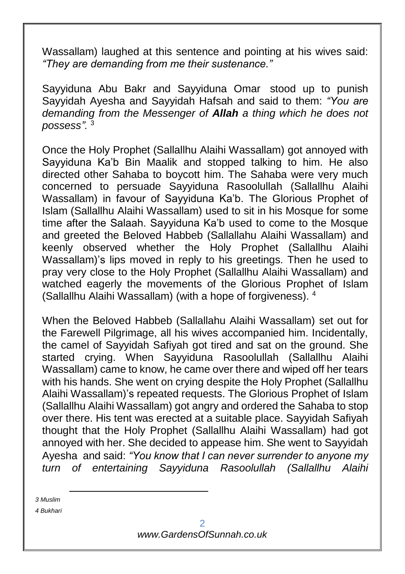Wassallam) laughed at this sentence and pointing at his wives said: *"They are demanding from me their sustenance."*

Sayyiduna Abu Bakr and Sayyiduna Omar stood up to punish Sayyidah Ayesha and Sayyidah Hafsah and said to them: *"You are demanding from the Messenger of Allah a thing which he does not possess".* <sup>3</sup>

Once the Holy Prophet (Sallallhu Alaihi Wassallam) got annoyed with Sayyiduna Ka'b Bin Maalik and stopped talking to him. He also directed other Sahaba to boycott him. The Sahaba were very much concerned to persuade Sayyiduna Rasoolullah (Sallallhu Alaihi Wassallam) in favour of Sayyiduna Ka'b. The Glorious Prophet of Islam (Sallallhu Alaihi Wassallam) used to sit in his Mosque for some time after the Salaah. Sayyiduna Ka'b used to come to the Mosque and greeted the Beloved Habbeb (Sallallahu Alaihi Wassallam) and keenly observed whether the Holy Prophet (Sallallhu Alaihi Wassallam)'s lips moved in reply to his greetings. Then he used to pray very close to the Holy Prophet (Sallallhu Alaihi Wassallam) and watched eagerly the movements of the Glorious Prophet of Islam (Sallallhu Alaihi Wassallam) (with a hope of forgiveness). <sup>4</sup>

When the Beloved Habbeb (Sallallahu Alaihi Wassallam) set out for the Farewell Pilgrimage, all his wives accompanied him. Incidentally, the camel of Sayyidah Safiyah got tired and sat on the ground. She started crying. When Sayyiduna Rasoolullah (Sallallhu Alaihi Wassallam) came to know, he came over there and wiped off her tears with his hands. She went on crying despite the Holy Prophet (Sallallhu Alaihi Wassallam)'s repeated requests. The Glorious Prophet of Islam (Sallallhu Alaihi Wassallam) got angry and ordered the Sahaba to stop over there. His tent was erected at a suitable place. Sayyidah Safiyah thought that the Holy Prophet (Sallallhu Alaihi Wassallam) had got annoyed with her. She decided to appease him. She went to Sayyidah Ayesha and said: *"You know that I can never surrender to anyone my turn of entertaining Sayyiduna Rasoolullah (Sallallhu Alaihi* 

*3 Muslim*

-

*4 Bukhari*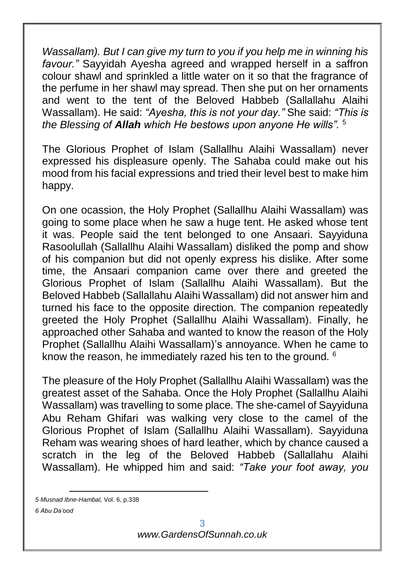*Wassallam). But I can give my turn to you if you help me in winning his favour."* Sayyidah Ayesha agreed and wrapped herself in a saffron colour shawl and sprinkled a little water on it so that the fragrance of the perfume in her shawl may spread. Then she put on her ornaments and went to the tent of the Beloved Habbeb (Sallallahu Alaihi Wassallam). He said: *"Ayesha, this is not your day."* She said: *"This is the Blessing of Allah which He bestows upon anyone He wills".* <sup>5</sup>

The Glorious Prophet of Islam (Sallallhu Alaihi Wassallam) never expressed his displeasure openly. The Sahaba could make out his mood from his facial expressions and tried their level best to make him happy.

On one ocassion, the Holy Prophet (Sallallhu Alaihi Wassallam) was going to some place when he saw a huge tent. He asked whose tent it was. People said the tent belonged to one Ansaari. Sayyiduna Rasoolullah (Sallallhu Alaihi Wassallam) disliked the pomp and show of his companion but did not openly express his dislike. After some time, the Ansaari companion came over there and greeted the Glorious Prophet of Islam (Sallallhu Alaihi Wassallam). But the Beloved Habbeb (Sallallahu Alaihi Wassallam) did not answer him and turned his face to the opposite direction. The companion repeatedly greeted the Holy Prophet (Sallallhu Alaihi Wassallam). Finally, he approached other Sahaba and wanted to know the reason of the Holy Prophet (Sallallhu Alaihi Wassallam)'s annoyance. When he came to know the reason, he immediately razed his ten to the ground. <sup>6</sup>

The pleasure of the Holy Prophet (Sallallhu Alaihi Wassallam) was the greatest asset of the Sahaba. Once the Holy Prophet (Sallallhu Alaihi Wassallam) was travelling to some place. The she-camel of Sayyiduna Abu Reham Ghifari was walking very close to the camel of the Glorious Prophet of Islam (Sallallhu Alaihi Wassallam). Sayyiduna Reham was wearing shoes of hard leather, which by chance caused a scratch in the leg of the Beloved Habbeb (Sallallahu Alaihi Wassallam). He whipped him and said: *"Take your foot away, you* 

-

*6 Abu Da'ood*

*<sup>5</sup> Musnad Ibne-Hambal,* Vol. 6, p.338